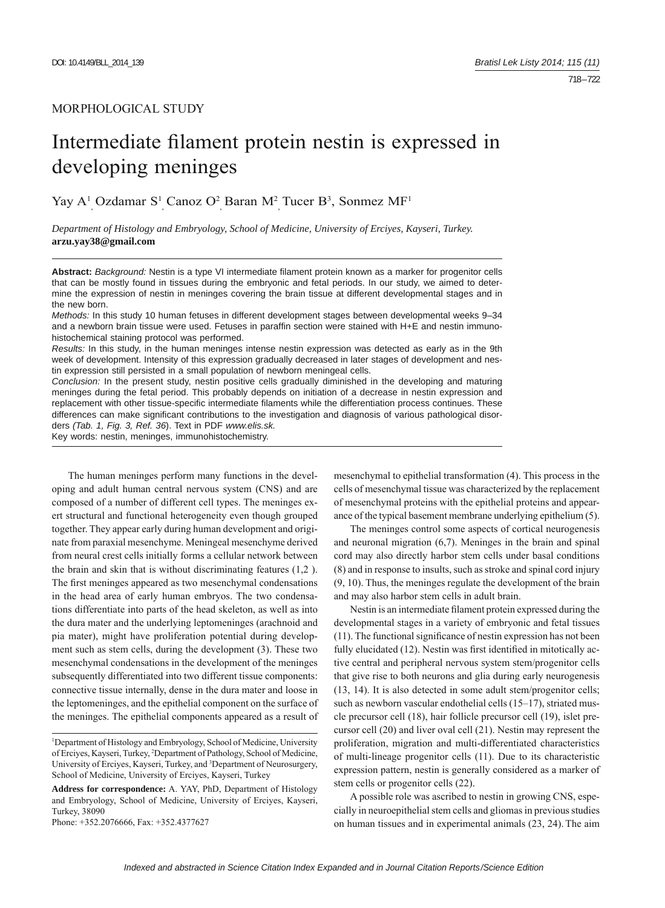# MORPHOLOGICAL STUDY

# Intermediate filament protein nestin is expressed in developing meninges

Yay A<sup>1</sup> Ozdamar S<sup>1</sup> Canoz O<sup>2</sup> Baran M<sup>2</sup> Tucer B<sup>3</sup>, Sonmez MF<sup>1</sup>

*Department of Histology and Embryology, School of Medicine, University of Erciyes, Kayseri, Turkey.*  **arzu.yay38@gmail.com**

Abstract: *Background:* Nestin is a type VI intermediate filament protein known as a marker for progenitor cells that can be mostly found in tissues during the embryonic and fetal periods. In our study, we aimed to determine the expression of nestin in meninges covering the brain tissue at different developmental stages and in the new born.

*Methods:* In this study 10 human fetuses in different development stages between developmental weeks 9–34 and a newborn brain tissue were used. Fetuses in paraffin section were stained with H+E and nestin immunohistochemical staining protocol was performed.

*Results:* In this study, in the human meninges intense nestin expression was detected as early as in the 9th week of development. Intensity of this expression gradually decreased in later stages of development and nestin expression still persisted in a small population of newborn meningeal cells.

*Conclusion:* In the present study, nestin positive cells gradually diminished in the developing and maturing meninges during the fetal period. This probably depends on initiation of a decrease in nestin expression and replacement with other tissue-specific intermediate filaments while the differentiation process continues. These differences can make significant contributions to the investigation and diagnosis of various pathological disorders *(Tab. 1, Fig. 3, Ref. 36*). Text in PDF *www.elis.sk.*

Key words: nestin, meninges, immunohistochemistry.

The human meninges perform many functions in the developing and adult human central nervous system (CNS) and are composed of a number of different cell types. The meninges exert structural and functional heterogeneity even though grouped together. They appear early during human development and originate from paraxial mesenchyme. Meningeal mesenchyme derived from neural crest cells initially forms a cellular network between the brain and skin that is without discriminating features (1,2 ). The first meninges appeared as two mesenchymal condensations in the head area of early human embryos. The two condensations differentiate into parts of the head skeleton, as well as into the dura mater and the underlying leptomeninges (arachnoid and pia mater), might have proliferation potential during development such as stem cells, during the development (3). These two mesenchymal condensations in the development of the meninges subsequently differentiated into two different tissue components: connective tissue internally, dense in the dura mater and loose in the leptomeninges, and the epithelial component on the surface of the meninges. The epithelial components appeared as a result of

Phone: +352.2076666, Fax: +352.4377627

mesenchymal to epithelial transformation (4). This process in the cells of mesenchymal tissue was characterized by the replacement of mesenchymal proteins with the epithelial proteins and appearance of the typical basement membrane underlying epithelium (5).

The meninges control some aspects of cortical neurogenesis and neuronal migration (6,7). Meninges in the brain and spinal cord may also directly harbor stem cells under basal conditions (8) and in response to insults, such as stroke and spinal cord injury (9, 10). Thus, the meninges regulate the development of the brain and may also harbor stem cells in adult brain.

Nestin is an intermediate filament protein expressed during the developmental stages in a variety of embryonic and fetal tissues  $(11)$ . The functional significance of nestin expression has not been fully elucidated (12). Nestin was first identified in mitotically active central and peripheral nervous system stem/progenitor cells that give rise to both neurons and glia during early neurogenesis (13, 14). It is also detected in some adult stem/progenitor cells; such as newborn vascular endothelial cells (15–17), striated muscle precursor cell (18), hair follicle precursor cell (19), islet precursor cell (20) and liver oval cell (21). Nestin may represent the proliferation, migration and multi-differentiated characteristics of multi-lineage progenitor cells (11). Due to its characteristic expression pattern, nestin is generally considered as a marker of stem cells or progenitor cells (22).

A possible role was ascribed to nestin in growing CNS, especially in neuroepithelial stem cells and gliomas in previous studies on human tissues and in experimental animals (23, 24).The aim

<sup>1</sup> Department of Histology and Embryology, School of Medicine, University of Erciyes, Kayseri, Turkey, 2 Department of Pathology, School of Medicine, University of Erciyes, Kayseri, Turkey, and <sup>3</sup>Department of Neurosurgery, School of Medicine, University of Erciyes, Kayseri, Turkey

**Address for correspondence:** A. YAY, PhD, Department of Histology and Embryology, School of Medicine, University of Erciyes, Kayseri, Turkey, 38090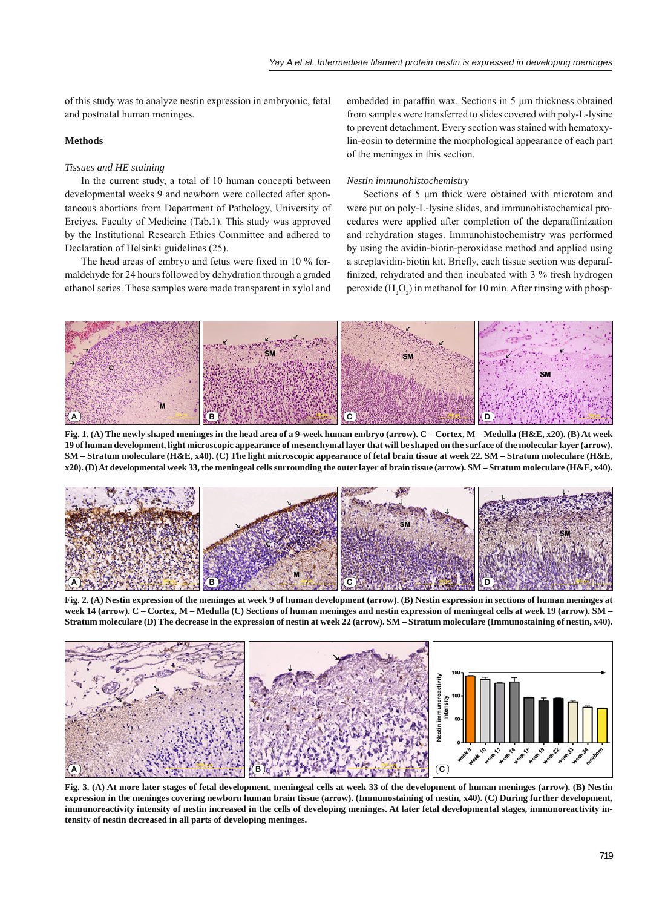of this study was to analyze nestin expression in embryonic, fetal and postnatal human meninges.

### **Methods**

#### *Tissues and HE staining*

In the current study, a total of 10 human concepti between developmental weeks 9 and newborn were collected after spontaneous abortions from Department of Pathology, University of Erciyes, Faculty of Medicine (Tab.1). This study was approved by the Institutional Research Ethics Committee and adhered to Declaration of Helsinki guidelines (25).

The head areas of embryo and fetus were fixed in 10 % formaldehyde for 24 hours followed by dehydration through a graded ethanol series. These samples were made transparent in xylol and

embedded in paraffin wax. Sections in 5 μm thickness obtained from samples were transferred to slides covered with poly-L-lysine to prevent detachment. Every section was stained with hematoxylin-eosin to determine the morphological appearance of each part of the meninges in this section.

#### *Nestin immunohistochemistry*

Sections of 5 μm thick were obtained with microtom and were put on poly-L-lysine slides, and immunohistochemical procedures were applied after completion of the deparaffinization and rehydration stages. Immunohistochemistry was performed by using the avidin-biotin-peroxidase method and applied using a streptavidin-biotin kit. Briefly, each tissue section was deparaffinized, rehydrated and then incubated with 3 % fresh hydrogen peroxide  $(H_2O_2)$  in methanol for 10 min. After rinsing with phosp-



**Fig. 1. (A) The newly shaped meninges in the head area of a 9-week human embryo (arrow). C – Cortex, M – Medulla (H&E, x20). (B) At week 19 of human development, light microscopic appearance of mesenchymal layer that will be shaped on the surface of the molecular layer (arrow). SM – Stratum moleculare (H&E, x40). (C) The light microscopic appearance of fetal brain tissue at week 22. SM – Stratum moleculare (H&E, x20). (D) At developmental week 33, the meningeal cells surrounding the outer layer of brain tissue (arrow). SM – Stratum moleculare (H&E, x40).**



**Fig. 2. (A) Nestin expression of the meninges at week 9 of human development (arrow). (B) Nestin expression in sections of human meninges at week 14 (arrow). C – Cortex, M – Medulla (C) Sections of human meninges and nestin expression of meningeal cells at week 19 (arrow). SM – Stratum moleculare (D) The decrease in the expression of nestin at week 22 (arrow). SM – Stratum moleculare (Immunostaining of nestin, x40).**



**Fig. 3. (A) At more later stages of fetal development, meningeal cells at week 33 of the development of human meninges (arrow). (B) Nestin expression in the meninges covering newborn human brain tissue (arrow). (Immunostaining of nestin, x40). (C) During further development, immunoreactivity intensity of nestin increased in the cells of developing meninges. At later fetal developmental stages, immunoreactivity intensity of nestin decreased in all parts of developing meninges.**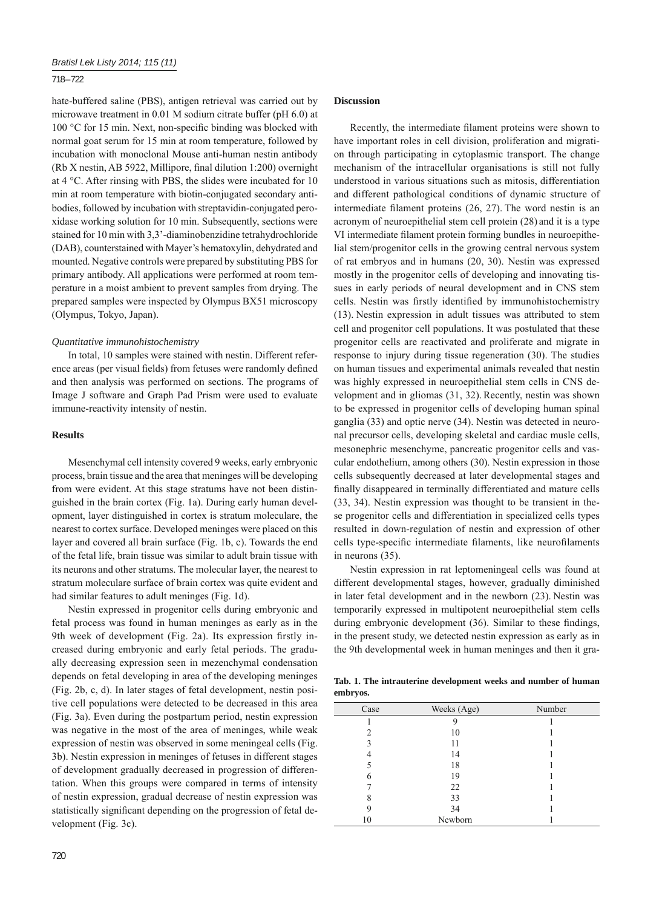#### 718 – 722

hate-buffered saline (PBS), antigen retrieval was carried out by microwave treatment in 0.01 M sodium citrate buffer (pH 6.0) at 100 °C for 15 min. Next, non-specific binding was blocked with normal goat serum for 15 min at room temperature, followed by incubation with monoclonal Mouse anti-human nestin antibody (Rb X nestin, AB 5922, Millipore, final dilution  $1:200$ ) overnight at 4 °C. After rinsing with PBS, the slides were incubated for 10 min at room temperature with biotin-conjugated secondary antibodies, followed by incubation with streptavidin-conjugated peroxidase working solution for 10 min. Subsequently, sections were stained for 10 min with 3,3'-diaminobenzidine tetrahydrochloride (DAB), counterstained with Mayer's hematoxylin, dehydrated and mounted. Negative controls were prepared by substituting PBS for primary antibody. All applications were performed at room temperature in a moist ambient to prevent samples from drying. The prepared samples were inspected by Olympus BX51 microscopy (Olympus, Tokyo, Japan).

#### *Quantitative immunohistochemistry*

In total, 10 samples were stained with nestin. Different reference areas (per visual fields) from fetuses were randomly defined and then analysis was performed on sections. The programs of Image J software and Graph Pad Prism were used to evaluate immune-reactivity intensity of nestin.

#### **Results**

Mesenchymal cell intensity covered 9 weeks, early embryonic process, brain tissue and the area that meninges will be developing from were evident. At this stage stratums have not been distinguished in the brain cortex (Fig. 1a). During early human development, layer distinguished in cortex is stratum moleculare, the nearest to cortex surface. Developed meninges were placed on this layer and covered all brain surface (Fig. 1b, c). Towards the end of the fetal life, brain tissue was similar to adult brain tissue with its neurons and other stratums. The molecular layer, the nearest to stratum moleculare surface of brain cortex was quite evident and had similar features to adult meninges (Fig. 1d).

Nestin expressed in progenitor cells during embryonic and fetal process was found in human meninges as early as in the 9th week of development (Fig. 2a). Its expression firstly increased during embryonic and early fetal periods. The gradually decreasing expression seen in mezenchymal condensation depends on fetal developing in area of the developing meninges (Fig. 2b, c, d). In later stages of fetal development, nestin positive cell populations were detected to be decreased in this area (Fig. 3a). Even during the postpartum period, nestin expression was negative in the most of the area of meninges, while weak expression of nestin was observed in some meningeal cells (Fig. 3b). Nestin expression in meninges of fetuses in different stages of development gradually decreased in progression of differentation. When this groups were compared in terms of intensity of nestin expression, gradual decrease of nestin expression was statistically significant depending on the progression of fetal development (Fig. 3c).

## **Discussion**

Recently, the intermediate filament proteins were shown to have important roles in cell division, proliferation and migration through participating in cytoplasmic transport. The change mechanism of the intracellular organisations is still not fully understood in various situations such as mitosis, differentiation and different pathological conditions of dynamic structure of intermediate filament proteins  $(26, 27)$ . The word nestin is an acronym of neuroepithelial stem cell protein (28) and it is a type VI intermediate filament protein forming bundles in neuroepithelial stem/progenitor cells in the growing central nervous system of rat embryos and in humans (20, 30). Nestin was expressed mostly in the progenitor cells of developing and innovating tissues in early periods of neural development and in CNS stem cells. Nestin was firstly identified by immunohistochemistry (13). Nestin expression in adult tissues was attributed to stem cell and progenitor cell populations. It was postulated that these progenitor cells are reactivated and proliferate and migrate in response to injury during tissue regeneration (30). The studies on human tissues and experimental animals revealed that nestin was highly expressed in neuroepithelial stem cells in CNS development and in gliomas (31, 32). Recently, nestin was shown to be expressed in progenitor cells of developing human spinal ganglia (33) and optic nerve (34). Nestin was detected in neuronal precursor cells, developing skeletal and cardiac musle cells, mesonephric mesenchyme, pancreatic progenitor cells and vascular endothelium, among others (30). Nestin expression in those cells subsequently decreased at later developmental stages and finally disappeared in terminally differentiated and mature cells (33, 34). Nestin expression was thought to be transient in these progenitor cells and differentiation in specialized cells types resulted in down-regulation of nestin and expression of other cells type-specific intermediate filaments, like neurofilaments in neurons (35).

Nestin expression in rat leptomeningeal cells was found at different developmental stages, however, gradually diminished in later fetal development and in the newborn (23). Nestin was temporarily expressed in multipotent neuroepithelial stem cells during embryonic development (36). Similar to these findings, in the present study, we detected nestin expression as early as in the 9th developmental week in human meninges and then it gra-

**Tab. 1. The intrauterine development weeks and number of human embryos.**

| Case | Weeks (Age) | Number |
|------|-------------|--------|
|      |             |        |
| ∍    | 10          |        |
| 3    | 11          |        |
|      | 14          |        |
|      | 18          |        |
|      | 19          |        |
|      | 22          |        |
| 8    | 33          |        |
| 9    | 34          |        |
| 10   | Newborn     |        |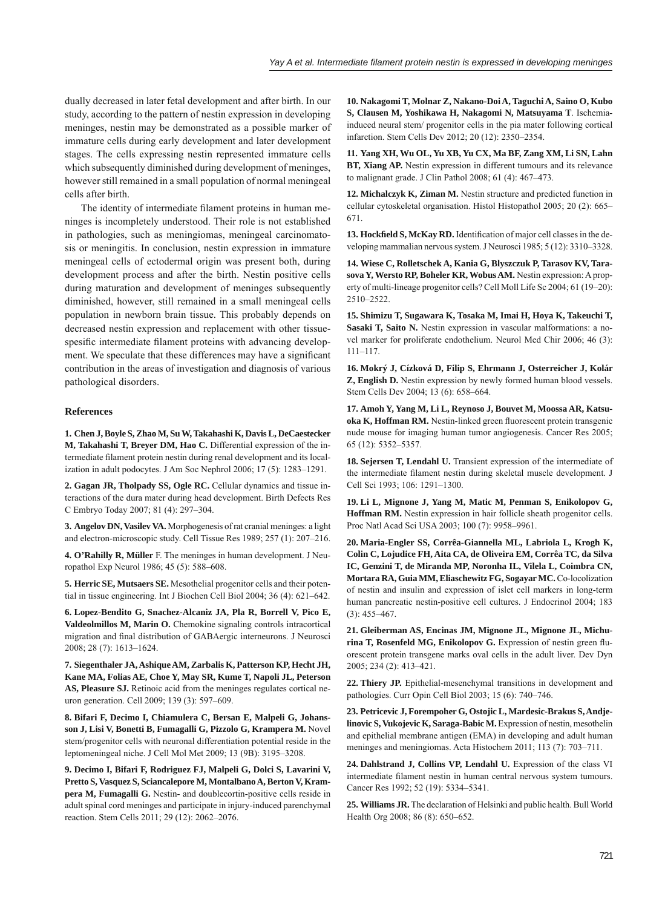dually decreased in later fetal development and after birth. In our study, according to the pattern of nestin expression in developing meninges, nestin may be demonstrated as a possible marker of immature cells during early development and later development stages. The cells expressing nestin represented immature cells which subsequently diminished during development of meninges, however still remained in a small population of normal meningeal cells after birth.

The identity of intermediate filament proteins in human meninges is incompletely understood. Their role is not established in pathologies, such as meningiomas, meningeal carcinomatosis or meningitis. In conclusion, nestin expression in immature meningeal cells of ectodermal origin was present both, during development process and after the birth. Nestin positive cells during maturation and development of meninges subsequently diminished, however, still remained in a small meningeal cells population in newborn brain tissue. This probably depends on decreased nestin expression and replacement with other tissuespesific intermediate filament proteins with advancing development. We speculate that these differences may have a significant contribution in the areas of investigation and diagnosis of various pathological disorders.

#### **References**

**1. Chen J, Boyle S, Zhao M, Su W, Takahashi K, Davis L, DeCaestecker M, Takahashi T, Breyer DM, Hao C.** Differential expression of the intermediate filament protein nestin during renal development and its localization in adult podocytes. J Am Soc Nephrol 2006; 17 (5): 1283–1291.

**2. Gagan JR, Tholpady SS, Ogle RC.** Cellular dynamics and tissue interactions of the dura mater during head development. Birth Defects Res C Embryo Today 2007; 81 (4): 297–304.

**3. Angelov DN, Vasilev VA.** Morphogenesis of rat cranial meninges: a light and electron-microscopic study. Cell Tissue Res 1989; 257 (1): 207–216.

**4. O'Rahilly R, Müller** F. The meninges in human development. J Neuropathol Exp Neurol 1986; 45 (5): 588–608.

**5. Herric SE, Mutsaers SE.** Mesothelial progenitor cells and their potential in tissue engineering. Int J Biochen Cell Biol 2004; 36 (4): 621–642.

**6. Lopez-Bendito G, Snachez-Alcaniz JA, Pla R, Borrell V, Pico E, Valdeolmillos M, Marin O.** Chemokine signaling controls intracortical migration and final distribution of GABAergic interneurons. J Neurosci 2008; 28 (7): 1613–1624.

**7. Siegenthaler JA, Ashique AM, Zarbalis K, Patterson KP, Hecht JH, Kane MA, Folias AE, Choe Y, May SR, Kume T, Napoli JL, Peterson AS, Pleasure SJ.** Retinoic acid from the meninges regulates cortical neuron generation. Cell 2009; 139 (3): 597–609.

**8. Bifari F, Decimo I, Chiamulera C, Bersan E, Malpeli G, Johansson J, Lisi V, Bonetti B, Fumagalli G, Pizzolo G, Krampera M.** Novel stem/progenitor cells with neuronal differentiation potential reside in the leptomeningeal niche. J Cell Mol Met 2009; 13 (9B): 3195–3208.

**9. Decimo I, Bifari F, Rodriguez FJ, Malpeli G, Dolci S, Lavarini V, Pretto S, Vasquez S, Sciancalepore M, Montalbano A, Berton V, Krampera M, Fumagalli G.** Nestin- and doublecortin-positive cells reside in adult spinal cord meninges and participate in injury-induced parenchymal reaction. Stem Cells 2011; 29 (12): 2062–2076.

**10. Nakagomi T, Molnar Z, Nakano-Doi A, Taguchi A, Saino O, Kubo S, Clausen M, Yoshikawa H, Nakagomi N, Matsuyama T**. Ischemiainduced neural stem/ progenitor cells in the pia mater following cortical infarction. Stem Cells Dev 2012; 20 (12): 2350–2354.

**11. Yang XH, Wu OL, Yu XB, Yu CX, Ma BF, Zang XM, Li SN, Lahn BT, Xiang AP.** Nestin expression in different tumours and its relevance to malignant grade. J Clin Pathol 2008; 61 (4): 467–473.

**12. Michalczyk K, Ziman M.** Nestin structure and predicted function in cellular cytoskeletal organisation. Histol Histopathol 2005; 20 (2): 665– 671.

13. Hockfield S, McKay RD. Identification of major cell classes in the developing mammalian nervous system. J Neurosci 1985; 5 (12): 3310–3328.

**14. Wiese C, Rolletschek A, Kania G, Blyszczuk P, Tarasov KV, Tarasova Y, Wersto RP, Boheler KR, Wobus AM.** Nestin expression: A property of multi-lineage progenitor cells? Cell Moll Life Sc 2004; 61 (19–20): 2510–2522.

**15. Shimizu T, Sugawara K, Tosaka M, Imai H, Hoya K, Takeuchi T, Sasaki T, Saito N.** Nestin expression in vascular malformations: a novel marker for proliferate endothelium. Neurol Med Chir 2006; 46 (3): 111–117.

**16. Mokrý J, Cízková D, Filip S, Ehrmann J, Osterreicher J, Kolár Z, English D.** Nestin expression by newly formed human blood vessels. Stem Cells Dev 2004; 13 (6): 658–664.

**17. Amoh Y, Yang M, Li L, Reynoso J, Bouvet M, Moossa AR, Katsuoka K, Hoffman RM.** Nestin-linked green fluorescent protein transgenic nude mouse for imaging human tumor angiogenesis. Cancer Res 2005; 65 (12): 5352–5357.

**18. Sejersen T, Lendahl U.** Transient expression of the intermediate of the intermediate filament nestin during skeletal muscle development. J Cell Sci 1993; 106: 1291–1300.

**19. Li L, Mignone J, Yang M, Matic M, Penman S, Enikolopov G, Hoffman RM.** Nestin expression in hair follicle sheath progenitor cells. Proc Natl Acad Sci USA 2003; 100 (7): 9958–9961.

**20. Maria-Engler SS, Corrêa-Giannella ML, Labriola L, Krogh K, Colin C, Lojudice FH, Aita CA, de Oliveira EM, Corrêa TC, da Silva IC, Genzini T, de Miranda MP, Noronha IL, Vilela L, Coimbra CN, Mortara RA, Guia MM, Eliaschewitz FG, Sogayar MC.** Co-locolization of nestin and insulin and expression of islet cell markers in long-term human pancreatic nestin-positive cell cultures. J Endocrinol 2004; 183 (3): 455–467.

**21. Gleiberman AS, Encinas JM, Mignone JL, Mignone JL, Michu**rina T, Rosenfeld MG, Enikolopov G. Expression of nestin green fluorescent protein transgene marks oval cells in the adult liver. Dev Dyn 2005; 234 (2): 413–421.

**22. Thiery JP.** Epithelial-mesenchymal transitions in development and pathologies. Curr Opin Cell Biol 2003; 15 (6): 740–746.

**23. Petricevic J, Forempoher G, Ostojic L, Mardesic-Brakus S, Andjelinovic S, Vukojevic K, Saraga-Babic M.** Expression of nestin, mesothelin and epithelial membrane antigen (EMA) in developing and adult human meninges and meningiomas. Acta Histochem 2011; 113 (7): 703–711.

**24. Dahlstrand J, Collins VP, Lendahl U.** Expression of the class VI intermediate filament nestin in human central nervous system tumours. Cancer Res 1992; 52 (19): 5334–5341.

**25. Williams JR.** The declaration of Helsinki and public health. Bull World Health Org 2008; 86 (8): 650–652.